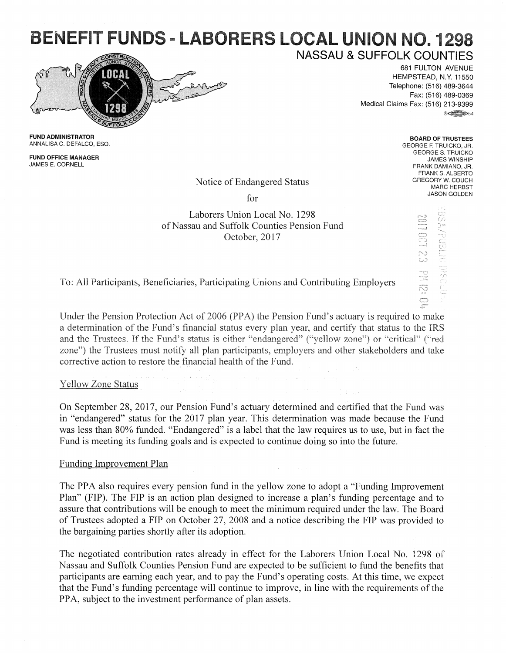## BENEFIT FUNDS - LABORERS LOCAL UNION NO. 1298 **NASSAU & SUFFOLK COUNTIES**



681 FULTON AVENUE HEMPSTEAD, N.Y. 11550 Telephone: (516) 489-3644

Fax: (516) 489-0369 Medical Claims Fax: (516) 213-9399 ®~54

> BOARD OF TRUSTEES GEORGE F. TRUICKO, JR. GEORGES. TRUICKO JAMES WINSHIP FRANK DAMIANO, JR. FRANK S. ALBERTO **GREGORY W. COUCH**  MARC HERBST JASON GOLDEN

> > NO:SIM CSTOIND

**FUND** ADMINISTRATOR ANNALISA C. DEFALCO, ESQ.

FUND OFFICE MANAGER JAMES E. CORNELL

Notice of Endangered Status

for

Laborers Union Local No. 1298 of Nassau and Suffolk Counties Pension Fund October, 2017

To: All Participants, Beneficiaries, Participating Unions and Contributing Employers

Under the Pension Protection Act of 2006 (PPA) the Pension Fund's actuary is required to make a determination of the Fund's financial status every plan year, and certify that status to the IRS and the Trustees. If the Fund's status is either "endangered" ("yellow zone") or "critical" ("red zone") the Trustees must notify all plan participants, employers and other stakeholders and take corrective action to restore the financial health of the Fund.

Yellow Zone Status

On September 28, 2017, our Pension Fund's actuary determined and certified that the Fund was in "endangered" status for the 2017 plan year. This determination was made because the Fund was less than 80% funded. "Endangered" is a label that the law requires us to use, but in fact the Fund is meeting its funding goals and is expected to continue doing so into the future.

## Funding Improvement Plan

The PPA also requires every pension fund in the yellow zone to adopt a "Funding Improvement" Plan" (FIP). The FIP is an action plan designed to increase a plan's funding percentage and to assure that contributions will be enough to meet the minimum required under the law. The Board of Trustees adopted a FIP on October 27, 2008 and a notice describing the FIP was provided to the bargaining parties shortly after its adoption.

The negotiated contribution rates already in effect for the Laborers Union Local No. 1298 of Nassau and Suffolk Counties Pension Fund are expected to be sufficient to fund the benefits that participants are earning each year, and to pay the Fund's operating costs. At this time, we expect that the Fund's funding percentage will continue to improve, in line with the requirements of the PPA, subject to the investment performance of plan assets.